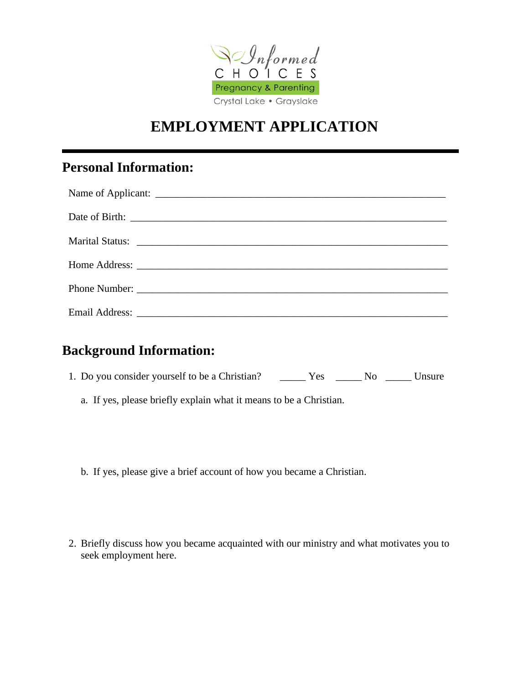

## **EMPLOYMENT APPLICATION**

## **Personal Information:**

| Marital Status: National Accounts and Accounts and Accounts and Accounts and Accounts and Accounts and Accounts and Accounts and Accounts and Accounts and Accounts and Accounts and Accounts and Accounts and Accounts and Ac |
|--------------------------------------------------------------------------------------------------------------------------------------------------------------------------------------------------------------------------------|
|                                                                                                                                                                                                                                |
|                                                                                                                                                                                                                                |
|                                                                                                                                                                                                                                |

## **Background Information:**

- 1. Do you consider yourself to be a Christian? \_\_\_\_\_\_ Yes \_\_\_\_\_\_ No \_\_\_\_\_ Unsure
	- a. If yes, please briefly explain what it means to be a Christian.
	- b. If yes, please give a brief account of how you became a Christian.
- 2. Briefly discuss how you became acquainted with our ministry and what motivates you to seek employment here.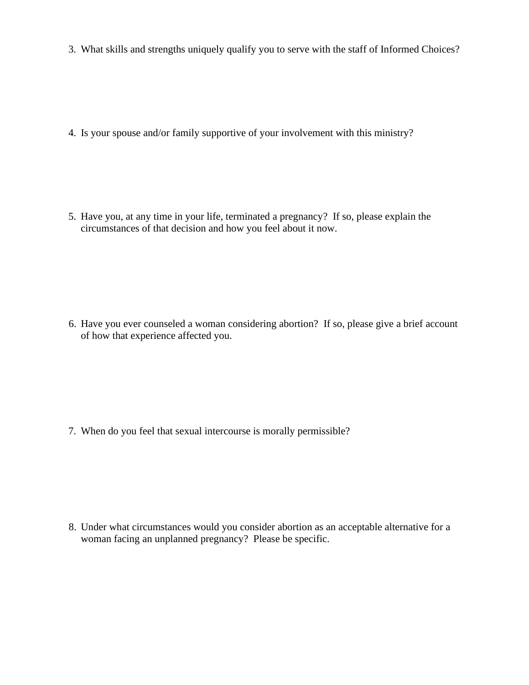3. What skills and strengths uniquely qualify you to serve with the staff of Informed Choices?

4. Is your spouse and/or family supportive of your involvement with this ministry?

5. Have you, at any time in your life, terminated a pregnancy? If so, please explain the circumstances of that decision and how you feel about it now.

6. Have you ever counseled a woman considering abortion? If so, please give a brief account of how that experience affected you.

7. When do you feel that sexual intercourse is morally permissible?

8. Under what circumstances would you consider abortion as an acceptable alternative for a woman facing an unplanned pregnancy? Please be specific.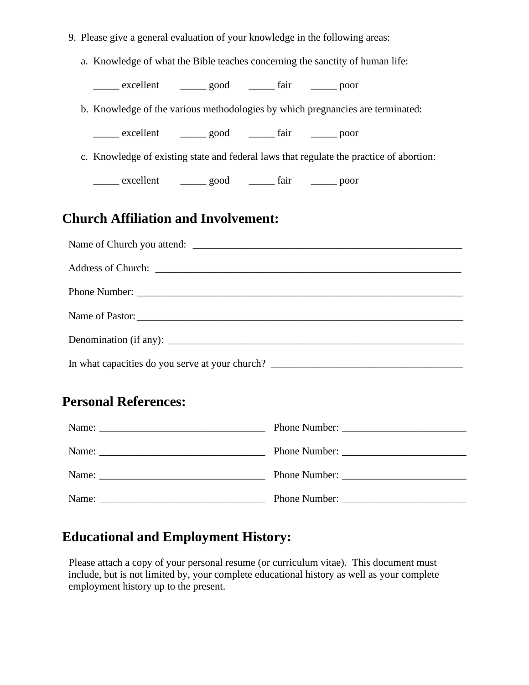|                                                                                   | 9. Please give a general evaluation of your knowledge in the following areas:           |  |  |  |  |  |
|-----------------------------------------------------------------------------------|-----------------------------------------------------------------------------------------|--|--|--|--|--|
|                                                                                   | a. Knowledge of what the Bible teaches concerning the sanctity of human life:           |  |  |  |  |  |
|                                                                                   | excellent _______ good ________ fair _______ poor                                       |  |  |  |  |  |
|                                                                                   | b. Knowledge of the various methodologies by which pregnancies are terminated:          |  |  |  |  |  |
|                                                                                   | excellent _______ good ________ fair _______ poor                                       |  |  |  |  |  |
|                                                                                   | c. Knowledge of existing state and federal laws that regulate the practice of abortion: |  |  |  |  |  |
|                                                                                   | excellent ________ good __________ fair ________ poor                                   |  |  |  |  |  |
| <b>Church Affiliation and Involvement:</b>                                        |                                                                                         |  |  |  |  |  |
|                                                                                   |                                                                                         |  |  |  |  |  |
|                                                                                   |                                                                                         |  |  |  |  |  |
|                                                                                   |                                                                                         |  |  |  |  |  |
|                                                                                   | Name of Pastor:                                                                         |  |  |  |  |  |
|                                                                                   |                                                                                         |  |  |  |  |  |
| In what capacities do you serve at your church? _________________________________ |                                                                                         |  |  |  |  |  |
|                                                                                   | <b>Personal References:</b>                                                             |  |  |  |  |  |
|                                                                                   |                                                                                         |  |  |  |  |  |
|                                                                                   |                                                                                         |  |  |  |  |  |
|                                                                                   |                                                                                         |  |  |  |  |  |

**Educational and Employment History:**

Please attach a copy of your personal resume (or curriculum vitae). This document must include, but is not limited by, your complete educational history as well as your complete employment history up to the present.

Name: \_\_\_\_\_\_\_\_\_\_\_\_\_\_\_\_\_\_\_\_\_\_\_\_\_\_\_\_\_\_\_\_ Phone Number: \_\_\_\_\_\_\_\_\_\_\_\_\_\_\_\_\_\_\_\_\_\_\_\_